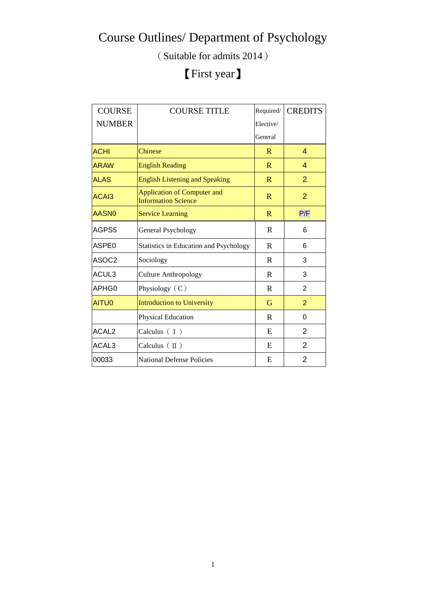(Suitable for admits 2014)

### 【First year】

| <b>COURSE</b>     | <b>COURSE TITLE</b>                                              | Required/    | <b>CREDITS</b> |
|-------------------|------------------------------------------------------------------|--------------|----------------|
| <b>NUMBER</b>     |                                                                  | Elective/    |                |
|                   |                                                                  | General      |                |
| <b>ACHI</b>       | Chinese                                                          | R            | 4              |
| <b>ARAW</b>       | <b>English Reading</b>                                           | R            | 4              |
| <b>ALAS</b>       | <b>English Listening and Speaking</b>                            | R            | $\overline{2}$ |
| ACA <sub>13</sub> | <b>Application of Computer and</b><br><b>Information Science</b> | R            | $\overline{2}$ |
| AASN <sub>0</sub> | <b>Service Learning</b>                                          | $\mathbf{R}$ | P/F            |
| AGPS5             | General Psychology                                               | $\mathbf R$  | 6              |
| ASPE <sub>0</sub> | <b>Statistics in Education and Psychology</b>                    | $\mathbf R$  | 6              |
| ASOC2             | Sociology                                                        | $\mathbf R$  | 3              |
| ACUL3             | <b>Culture Anthropology</b>                                      | R            | 3              |
| APHG0             | Physiology (C)                                                   | $\mathbf R$  | 2              |
| AITU0             | <b>Introduction to University</b>                                | G            | 2              |
|                   | Physical Education                                               | R            | 0              |
| ACAL <sub>2</sub> | Calculus $(1)$                                                   | E            | $\overline{2}$ |
| ACAL3             | Calculus $(\mathbb{I})$                                          | E            | $\overline{2}$ |
| 00033             | <b>National Defense Policies</b>                                 | E            | $\overline{2}$ |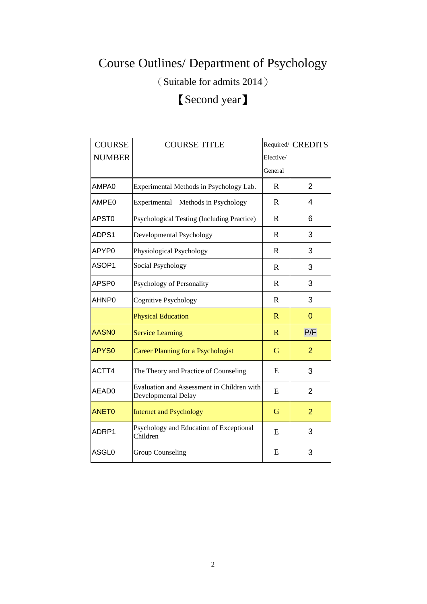(Suitable for admits 2014)

#### 【Second year】

| <b>COURSE</b>     | <b>COURSE TITLE</b>                                               |              | Required/ CREDITS |
|-------------------|-------------------------------------------------------------------|--------------|-------------------|
| <b>NUMBER</b>     |                                                                   | Elective/    |                   |
|                   |                                                                   | General      |                   |
| AMPA0             | Experimental Methods in Psychology Lab.                           | R            | $\overline{2}$    |
| AMPE0             | Experimental Methods in Psychology                                | $\mathbf R$  | 4                 |
| APST <sub>0</sub> | Psychological Testing (Including Practice)                        | $\mathbf R$  | 6                 |
| ADPS1             | Developmental Psychology                                          | $\mathbf R$  | 3                 |
| APYP0             | Physiological Psychology                                          | $\mathbf R$  | 3                 |
| ASOP1             | Social Psychology                                                 | $\mathbb{R}$ | 3                 |
| APSP0             | Psychology of Personality                                         | R            | 3                 |
| AHNP0             | <b>Cognitive Psychology</b>                                       | $\mathbf R$  | 3                 |
|                   | <b>Physical Education</b>                                         | $\mathbb{R}$ | $\Omega$          |
| <b>AASN0</b>      | <b>Service Learning</b>                                           | $\mathbb{R}$ | P/F               |
| APYS <sub>0</sub> | <b>Career Planning for a Psychologist</b>                         | G            | $\overline{2}$    |
| ACTT4             | The Theory and Practice of Counseling                             | E            | 3                 |
| AEAD0             | Evaluation and Assessment in Children with<br>Developmental Delay | E            | 2                 |
| <b>ANET0</b>      | <b>Internet and Psychology</b>                                    | G            | $\overline{2}$    |
| ADRP1             | Psychology and Education of Exceptional<br>Children               | E            | 3                 |
| ASGL0             | <b>Group Counseling</b>                                           | E            | 3                 |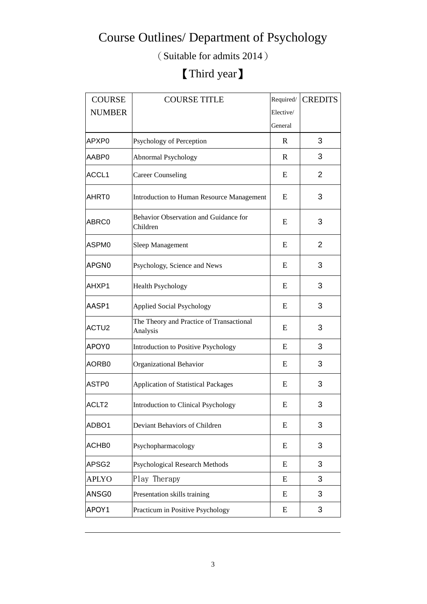(Suitable for admits 2014)

### 【Third year】

| <b>COURSE</b>     | <b>COURSE TITLE</b>                                  | Required/ | <b>CREDITS</b> |
|-------------------|------------------------------------------------------|-----------|----------------|
| <b>NUMBER</b>     |                                                      | Elective/ |                |
|                   |                                                      | General   |                |
| APXP0             | Psychology of Perception                             | R         | 3              |
| AABP0             | Abnormal Psychology                                  | R         | 3              |
| ACCL <sub>1</sub> | <b>Career Counseling</b>                             | E         | $\overline{2}$ |
| AHRT0             | Introduction to Human Resource Management            | E         | 3              |
| ABRC0             | Behavior Observation and Guidance for<br>Children    | E         | 3              |
| ASPM <sub>0</sub> | Sleep Management                                     | E         | 2              |
| APGN0             | Psychology, Science and News                         | E         | 3              |
| AHXP1             | <b>Health Psychology</b>                             | E         | 3              |
| AASP1             | <b>Applied Social Psychology</b>                     | E         | 3              |
| ACTU2             | The Theory and Practice of Transactional<br>Analysis | E         | 3              |
| APOY0             | <b>Introduction to Positive Psychology</b>           | E         | 3              |
| AORB <sub>0</sub> | Organizational Behavior                              | E         | 3              |
| ASTP0             | <b>Application of Statistical Packages</b>           | E         | 3              |
| ACLT <sub>2</sub> | Introduction to Clinical Psychology                  | E         | 3              |
| ADBO1             | Deviant Behaviors of Children                        | E         | 3              |
| ACHB <sub>0</sub> | Psychopharmacology                                   | E         | 3              |
| APSG2             | <b>Psychological Research Methods</b>                | E         | 3              |
| <b>APLYO</b>      | Play Therapy                                         | E         | 3              |
| ANSG0             | Presentation skills training                         | E         | 3              |
| APOY1             | Practicum in Positive Psychology                     | E         | 3              |